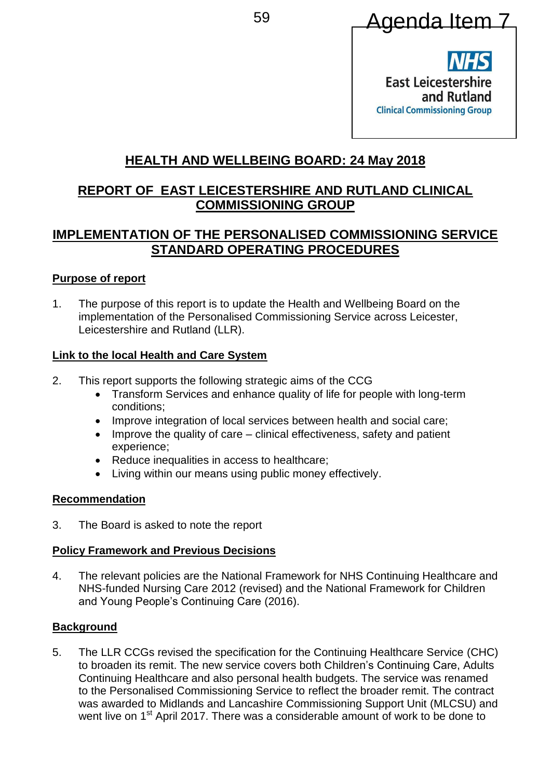# <sup>59</sup> Agenda Item 7

East Leicestershire and Rutland **Clinical Commissioning Group** 

# **HEALTH AND WELLBEING BOARD: 24 May 2018**

# **REPORT OF EAST LEICESTERSHIRE AND RUTLAND CLINICAL COMMISSIONING GROUP**

# **IMPLEMENTATION OF THE PERSONALISED COMMISSIONING SERVICE STANDARD OPERATING PROCEDURES**

#### **Purpose of report**

1. The purpose of this report is to update the Health and Wellbeing Board on the implementation of the Personalised Commissioning Service across Leicester, Leicestershire and Rutland (LLR).

#### **Link to the local Health and Care System**

- 2. This report supports the following strategic aims of the CCG
	- Transform Services and enhance quality of life for people with long-term conditions;
	- Improve integration of local services between health and social care;
	- Improve the quality of care clinical effectiveness, safety and patient experience;
	- Reduce inequalities in access to healthcare;
	- Living within our means using public money effectively.

#### **Recommendation**

3. The Board is asked to note the report

#### **Policy Framework and Previous Decisions**

4. The relevant policies are the National Framework for NHS Continuing Healthcare and NHS-funded Nursing Care 2012 (revised) and the National Framework for Children and Young People's Continuing Care (2016).

## **Background**

5. The LLR CCGs revised the specification for the Continuing Healthcare Service (CHC) to broaden its remit. The new service covers both Children's Continuing Care, Adults Continuing Healthcare and also personal health budgets. The service was renamed to the Personalised Commissioning Service to reflect the broader remit. The contract was awarded to Midlands and Lancashire Commissioning Support Unit (MLCSU) and went live on 1<sup>st</sup> April 2017. There was a considerable amount of work to be done to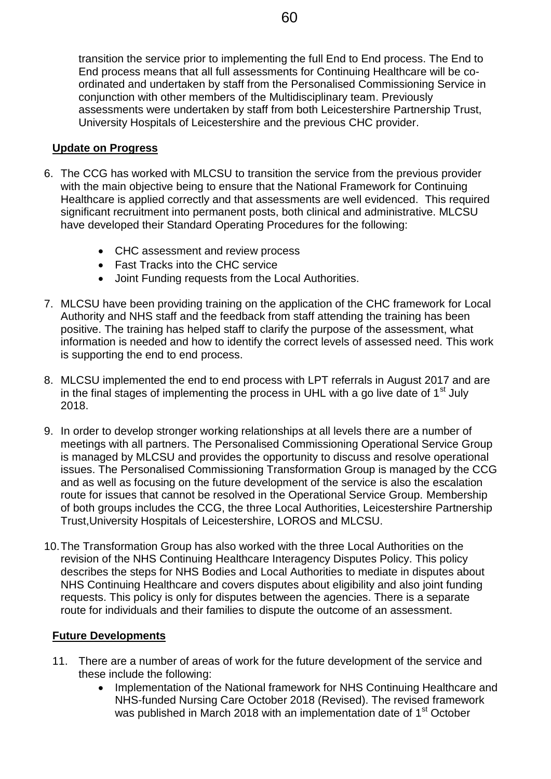transition the service prior to implementing the full End to End process. The End to End process means that all full assessments for Continuing Healthcare will be coordinated and undertaken by staff from the Personalised Commissioning Service in conjunction with other members of the Multidisciplinary team. Previously assessments were undertaken by staff from both Leicestershire Partnership Trust, University Hospitals of Leicestershire and the previous CHC provider.

## **Update on Progress**

- 6. The CCG has worked with MLCSU to transition the service from the previous provider with the main objective being to ensure that the National Framework for Continuing Healthcare is applied correctly and that assessments are well evidenced. This required significant recruitment into permanent posts, both clinical and administrative. MLCSU have developed their Standard Operating Procedures for the following:
	- CHC assessment and review process
	- Fast Tracks into the CHC service
	- Joint Funding requests from the Local Authorities.
- 7. MLCSU have been providing training on the application of the CHC framework for Local Authority and NHS staff and the feedback from staff attending the training has been positive. The training has helped staff to clarify the purpose of the assessment, what information is needed and how to identify the correct levels of assessed need. This work is supporting the end to end process.
- 8. MLCSU implemented the end to end process with LPT referrals in August 2017 and are in the final stages of implementing the process in UHL with a go live date of  $1<sup>st</sup>$  July 2018.
- 9. In order to develop stronger working relationships at all levels there are a number of meetings with all partners. The Personalised Commissioning Operational Service Group is managed by MLCSU and provides the opportunity to discuss and resolve operational issues. The Personalised Commissioning Transformation Group is managed by the CCG and as well as focusing on the future development of the service is also the escalation route for issues that cannot be resolved in the Operational Service Group. Membership of both groups includes the CCG, the three Local Authorities, Leicestershire Partnership Trust,University Hospitals of Leicestershire, LOROS and MLCSU.
- 10.The Transformation Group has also worked with the three Local Authorities on the revision of the NHS Continuing Healthcare Interagency Disputes Policy. This policy describes the steps for NHS Bodies and Local Authorities to mediate in disputes about NHS Continuing Healthcare and covers disputes about eligibility and also joint funding requests. This policy is only for disputes between the agencies. There is a separate route for individuals and their families to dispute the outcome of an assessment.

## **Future Developments**

- 11. There are a number of areas of work for the future development of the service and these include the following:
	- Implementation of the National framework for NHS Continuing Healthcare and NHS-funded Nursing Care October 2018 (Revised). The revised framework was published in March 2018 with an implementation date of 1<sup>st</sup> October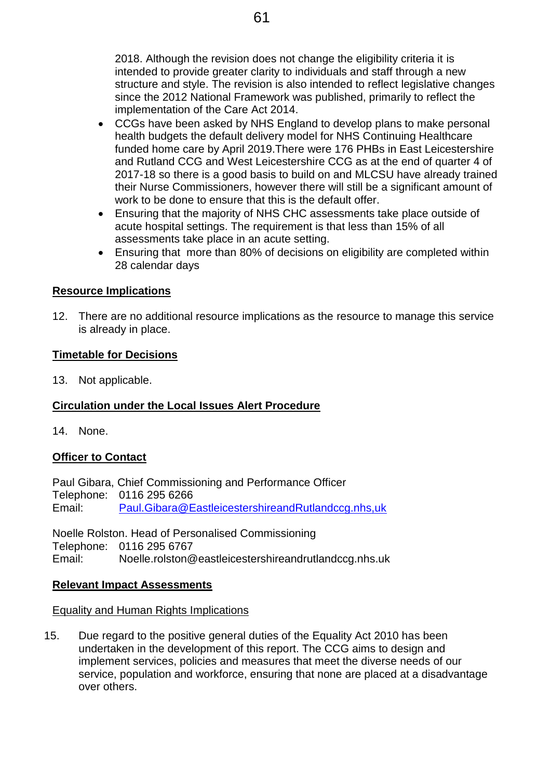2018. Although the revision does not change the eligibility criteria it is intended to provide greater clarity to individuals and staff through a new structure and style. The revision is also intended to reflect legislative changes since the 2012 National Framework was published, primarily to reflect the implementation of the Care Act 2014.

- CCGs have been asked by NHS England to develop plans to make personal health budgets the default delivery model for NHS Continuing Healthcare funded home care by April 2019.There were 176 PHBs in East Leicestershire and Rutland CCG and West Leicestershire CCG as at the end of quarter 4 of 2017-18 so there is a good basis to build on and MLCSU have already trained their Nurse Commissioners, however there will still be a significant amount of work to be done to ensure that this is the default offer.
- Ensuring that the majority of NHS CHC assessments take place outside of acute hospital settings. The requirement is that less than 15% of all assessments take place in an acute setting.
- Ensuring that more than 80% of decisions on eligibility are completed within 28 calendar days

## **Resource Implications**

12. There are no additional resource implications as the resource to manage this service is already in place.

## **Timetable for Decisions**

13. Not applicable.

# **Circulation under the Local Issues Alert Procedure**

14. None.

# **Officer to Contact**

Paul Gibara, Chief Commissioning and Performance Officer Telephone: 0116 295 6266 Email: [Paul.Gibara@EastleicestershireandRutlandccg.nhs,uk](mailto:Paul.Gibara@EastleicestershireandRutlandccg.nhs,uk)

Noelle Rolston. Head of Personalised Commissioning Telephone: 0116 295 6767 Email: Noelle.rolston@eastleicestershireandrutlandccg.nhs.uk

## **Relevant Impact Assessments**

## Equality and Human Rights Implications

15. Due regard to the positive general duties of the Equality Act 2010 has been undertaken in the development of this report. The CCG aims to design and implement services, policies and measures that meet the diverse needs of our service, population and workforce, ensuring that none are placed at a disadvantage over others.